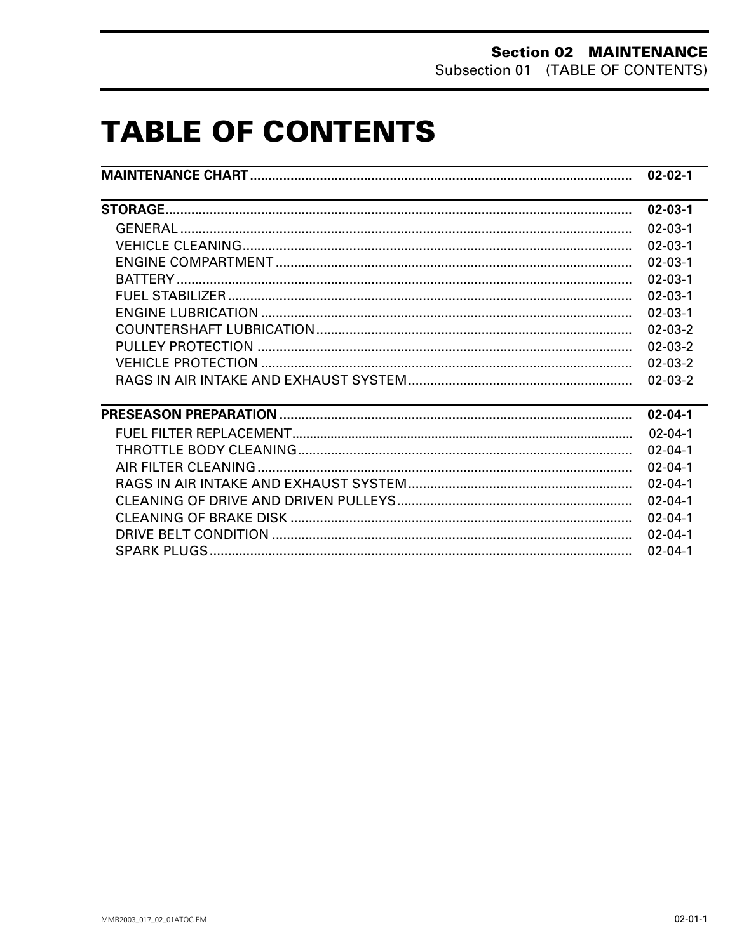# **TABLE OF CONTENTS**

|                                               | $02 - 02 - 1$ |
|-----------------------------------------------|---------------|
| <u> 1989 - Andrea Andrew Maria (h. 1989).</u> | $02 - 03 - 1$ |
|                                               | $02 - 03 - 1$ |
|                                               | $02 - 03 - 1$ |
|                                               | $02 - 03 - 1$ |
|                                               | $02 - 03 - 1$ |
|                                               | $02 - 03 - 1$ |
|                                               | $02 - 03 - 1$ |
|                                               | $02 - 03 - 2$ |
|                                               | $02 - 03 - 2$ |
|                                               | $02 - 03 - 2$ |
|                                               | $02 - 03 - 2$ |
|                                               | $02 - 04 - 1$ |
|                                               | $02 - 04 - 1$ |
|                                               | $02 - 04 - 1$ |
|                                               | $02 - 04 - 1$ |
|                                               | $02 - 04 - 1$ |
|                                               | $02 - 04 - 1$ |
|                                               | $02 - 04 - 1$ |
|                                               | $02 - 04 - 1$ |
|                                               | $02 - 04 - 1$ |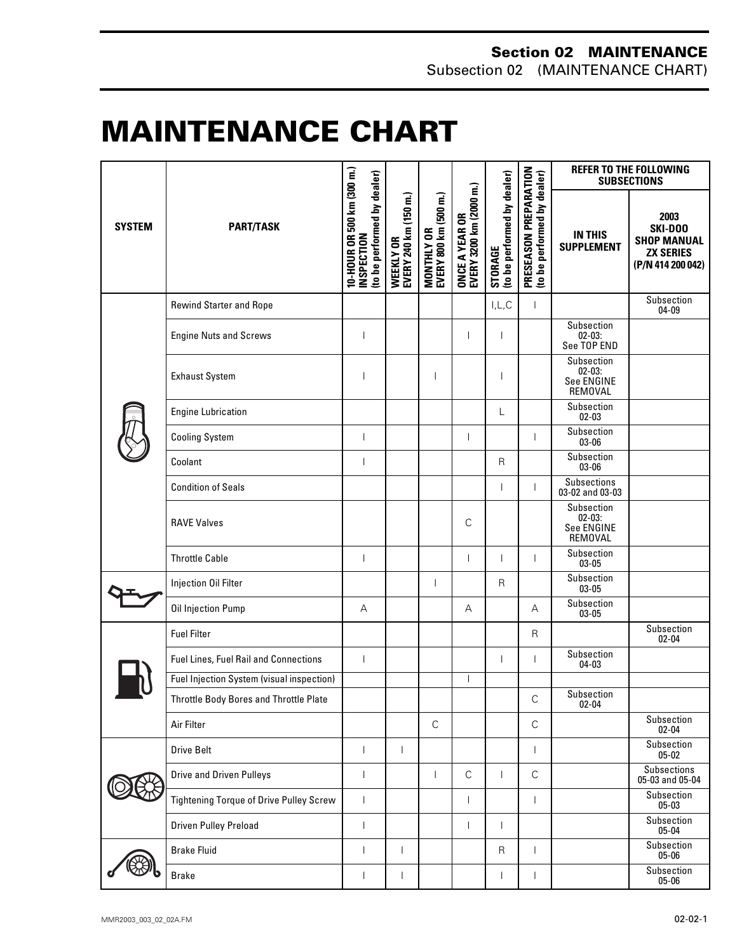#### **Section 02 MAINTENANCE** Subsection 02 (MAINTENANCE CHART)

# <span id="page-1-0"></span>**MAINTENANCE CHART 0**

| <b>SYSTEM</b> | <b>PART/TASK</b>                               | 10-HOUR OR 500 km (300 m.)<br>(to be performed by dealer)<br><b>INSPECTION</b> | WEEKLY OR<br>EVERY 240 km (150 m.) | MONTHLY OR<br>EVERY 800 km (500 m.) | ONCE A YEAR OR<br>EVERY 3200 km (2000 m.) | STORAGE<br>(to be performed by dealer) | PRESEASON PREPARATION<br>(to be performed by dealer) | <b>REFER TO THE FOLLOWING</b><br><b>SUBSECTIONS</b> |                                                                                |
|---------------|------------------------------------------------|--------------------------------------------------------------------------------|------------------------------------|-------------------------------------|-------------------------------------------|----------------------------------------|------------------------------------------------------|-----------------------------------------------------|--------------------------------------------------------------------------------|
|               |                                                |                                                                                |                                    |                                     |                                           |                                        |                                                      | <b>IN THIS</b><br><b>SUPPLEMENT</b>                 | 2003<br>SKI-DOO<br><b>SHOP MANUAL</b><br><b>ZX SERIES</b><br>(P/N 414 200 042) |
|               | <b>Rewind Starter and Rope</b>                 |                                                                                |                                    |                                     |                                           | I, L, C                                |                                                      |                                                     | Subsection<br>$04 - 09$                                                        |
|               | <b>Engine Nuts and Screws</b>                  | $\overline{\phantom{a}}$                                                       |                                    |                                     |                                           |                                        |                                                      | Subsection<br>02-03:<br>See TOP END                 |                                                                                |
|               | <b>Exhaust System</b>                          |                                                                                |                                    |                                     |                                           |                                        |                                                      | Subsection<br>$02 - 03$ :<br>See ENGINE<br>REMOVAL  |                                                                                |
|               | <b>Engine Lubrication</b>                      |                                                                                |                                    |                                     |                                           | L                                      |                                                      | Subsection<br>$02 - 03$                             |                                                                                |
|               | <b>Cooling System</b>                          | $\overline{\phantom{a}}$                                                       |                                    |                                     | $\overline{1}$                            |                                        |                                                      | Subsection<br>03-06                                 |                                                                                |
|               | Coolant                                        | $\overline{\phantom{a}}$                                                       |                                    |                                     |                                           | $\mathsf{R}$                           |                                                      | Subsection<br>03-06                                 |                                                                                |
|               | <b>Condition of Seals</b>                      |                                                                                |                                    |                                     |                                           | T                                      |                                                      | Subsections<br>03-02 and 03-03                      |                                                                                |
|               | <b>RAVE Valves</b>                             |                                                                                |                                    |                                     | C                                         |                                        |                                                      | Subsection<br>02-03:<br>See ENGINE<br>REMOVAL       |                                                                                |
|               | <b>Throttle Cable</b>                          |                                                                                |                                    |                                     | ı                                         | T                                      |                                                      | Subsection<br>$03 - 05$                             |                                                                                |
|               | Injection Oil Filter                           |                                                                                |                                    | $\overline{\phantom{a}}$            |                                           | $\mathsf{R}$                           |                                                      | Subsection<br>03-05                                 |                                                                                |
|               | Oil Injection Pump                             | Α                                                                              |                                    |                                     | Α                                         |                                        | А                                                    | Subsection<br>$03 - 05$                             |                                                                                |
|               | <b>Fuel Filter</b>                             |                                                                                |                                    |                                     |                                           |                                        | $\mathsf{R}$                                         |                                                     | Subsection<br>$02 - 04$                                                        |
|               | Fuel Lines, Fuel Rail and Connections          | $\overline{\phantom{a}}$                                                       |                                    |                                     |                                           | $\mathbf{I}$                           |                                                      | Subsection<br>04-03                                 |                                                                                |
|               | Fuel Injection System (visual inspection)      |                                                                                |                                    |                                     |                                           |                                        |                                                      |                                                     |                                                                                |
|               | Throttle Body Bores and Throttle Plate         |                                                                                |                                    |                                     |                                           |                                        | $\mathsf C$                                          | Subsection<br>$02 - 04$                             |                                                                                |
|               | Air Filter                                     |                                                                                |                                    | $\mathsf C$                         |                                           |                                        | $\mathsf C$                                          |                                                     | Subsection<br>$02 - 04$                                                        |
|               | Drive Belt                                     | $\overline{\phantom{a}}$                                                       | $\mathsf{L}$                       |                                     |                                           |                                        | $\overline{\phantom{a}}$                             |                                                     | Subsection<br>$05 - 02$                                                        |
|               | <b>Drive and Driven Pulleys</b>                | $\overline{\phantom{a}}$                                                       |                                    | $\mathbf{I}$                        | $\mathsf{C}$                              | $\mathbf{L}$                           | $\mathsf C$                                          |                                                     | Subsections<br>05-03 and 05-04                                                 |
|               | <b>Tightening Torque of Drive Pulley Screw</b> | $\overline{1}$                                                                 |                                    |                                     | $\mathsf{L}$                              |                                        | $\overline{1}$                                       |                                                     | Subsection<br>$05 - 03$                                                        |
|               | <b>Driven Pulley Preload</b>                   | ı                                                                              |                                    |                                     | $\mathsf{I}$                              | L                                      |                                                      |                                                     | Subsection<br>$05 - 04$                                                        |
|               | <b>Brake Fluid</b>                             | $\overline{\phantom{a}}$                                                       | L                                  |                                     |                                           | $\mathsf{R}$                           | $\overline{1}$                                       |                                                     | Subsection<br>05-06                                                            |
|               | <b>Brake</b>                                   | I                                                                              | L                                  |                                     |                                           | $\mathbf{I}$                           |                                                      |                                                     | Subsection<br>05-06                                                            |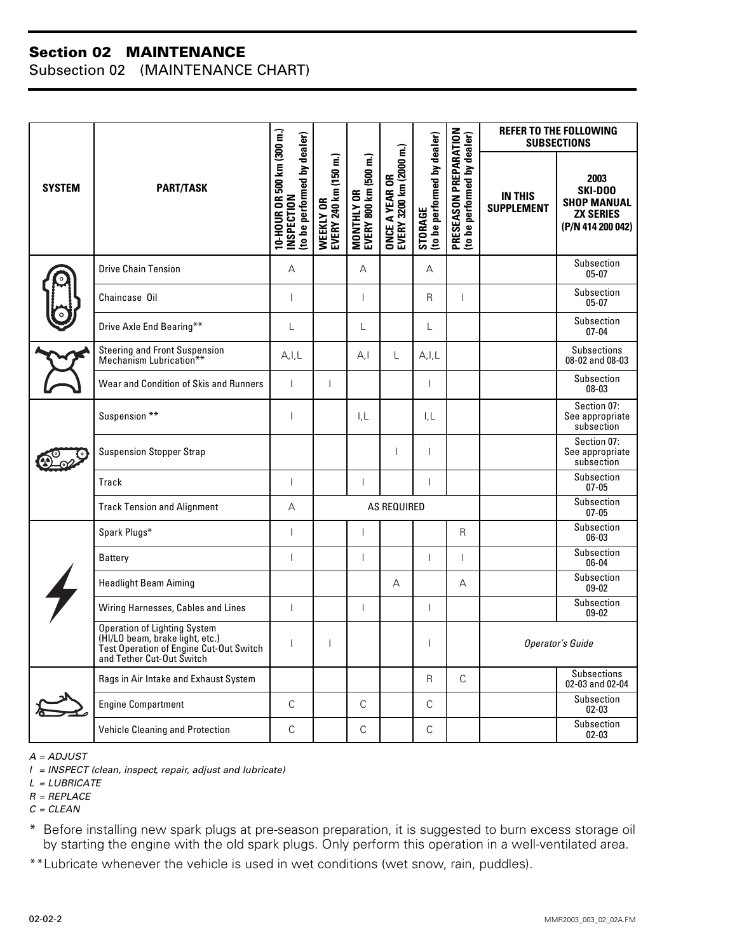#### **Section 02 MAINTENANCE**

Subsection 02 (MAINTENANCE CHART)

| <b>SYSTEM</b> | <b>PART/TASK</b>                                                                                                                        | 10-HOUR OR 500 km (300 m.)<br>to be performed by dealer)<br><b>NSPECTION</b> | EVERY 240 km (150 m.)<br>WEEKLY OR | MONTHLY OR<br>EVERY 800 km (500 m.) | Ê<br>ONCE A YEAR OR<br>EVERY 3200 km (2000 | (to be performed by dealer)<br>STORAGE | PRESEASON PREPARATION<br>to be performed by dealer) | <b>REFER TO THE FOLLOWING</b><br><b>SUBSECTIONS</b> |                                                                                |
|---------------|-----------------------------------------------------------------------------------------------------------------------------------------|------------------------------------------------------------------------------|------------------------------------|-------------------------------------|--------------------------------------------|----------------------------------------|-----------------------------------------------------|-----------------------------------------------------|--------------------------------------------------------------------------------|
|               |                                                                                                                                         |                                                                              |                                    |                                     |                                            |                                        |                                                     | <b>IN THIS</b><br><b>SUPPLEMENT</b>                 | 2003<br>SKI-DOO<br><b>SHOP MANUAL</b><br><b>ZX SERIES</b><br>(P/N 414 200 042) |
|               | <b>Drive Chain Tension</b>                                                                                                              | A                                                                            |                                    | A                                   |                                            | A                                      |                                                     |                                                     | Subsection<br>$05-07$                                                          |
|               | Chaincase Oil                                                                                                                           | $\overline{\phantom{a}}$                                                     |                                    | T                                   |                                            | R                                      | $\overline{1}$                                      |                                                     | Subsection<br>$05-07$                                                          |
|               | Drive Axle End Bearing**                                                                                                                | L                                                                            |                                    | L                                   |                                            | L                                      |                                                     |                                                     | Subsection<br>$07 - 04$                                                        |
|               | Steering and Front Suspension<br>Mechanism Lubrication**                                                                                | A, I, L                                                                      |                                    | A,I                                 | L                                          | A, I, L                                |                                                     |                                                     | <b>Subsections</b><br>08-02 and 08-03                                          |
|               | Wear and Condition of Skis and Runners                                                                                                  | $\overline{1}$                                                               | $\mathbf{I}$                       |                                     |                                            | $\mathbf{I}$                           |                                                     |                                                     | Subsection<br>$08 - 03$                                                        |
|               | Suspension **                                                                                                                           | $\overline{1}$                                                               |                                    | $L_{\rm L}$                         |                                            | I,L                                    |                                                     |                                                     | Section 07:<br>See appropriate<br>subsection                                   |
|               | <b>Suspension Stopper Strap</b>                                                                                                         |                                                                              |                                    |                                     | $\overline{1}$                             | $\mathsf{I}$                           |                                                     |                                                     | Section 07:<br>See appropriate<br>subsection                                   |
|               | Track                                                                                                                                   | $\overline{\phantom{a}}$                                                     |                                    | $\mathbf{I}$                        |                                            | $\mathbf{I}$                           |                                                     |                                                     | Subsection<br>$07 - 05$                                                        |
|               | <b>Track Tension and Alignment</b>                                                                                                      | A                                                                            | AS REQUIRED                        |                                     |                                            |                                        |                                                     |                                                     | Subsection<br>$07 - 05$                                                        |
|               | Spark Plugs*                                                                                                                            | $\overline{1}$                                                               |                                    | ı                                   |                                            |                                        | R                                                   |                                                     | Subsection<br>06-03                                                            |
|               | Battery                                                                                                                                 | $\overline{1}$                                                               |                                    | $\mathsf{I}$                        |                                            | $\mathbf{I}$                           | $\overline{1}$                                      |                                                     | Subsection<br>06-04                                                            |
|               | <b>Headlight Beam Aiming</b>                                                                                                            |                                                                              |                                    |                                     | $\overline{A}$                             |                                        | A                                                   |                                                     | Subsection<br>$09 - 02$                                                        |
|               | Wiring Harnesses, Cables and Lines                                                                                                      | $\overline{1}$                                                               |                                    | $\mathbf{I}$                        |                                            | $\mathbf{I}$                           |                                                     |                                                     | Subsection<br>$09 - 02$                                                        |
|               | Operation of Lighting System<br>(HI/LO beam, brake light, etc.)<br>Test Operation of Engine Cut-Out Switch<br>and Tether Cut-Out Switch | $\overline{\phantom{a}}$                                                     | $\mathbf{I}$                       | Operator's Guide<br>$\mathbf{I}$    |                                            |                                        |                                                     |                                                     |                                                                                |
|               | Rags in Air Intake and Exhaust System                                                                                                   |                                                                              |                                    |                                     |                                            | R.                                     | $\mathsf{C}$                                        |                                                     | <b>Subsections</b><br>02-03 and 02-04                                          |
|               | <b>Engine Compartment</b>                                                                                                               | $\mathsf{C}$                                                                 |                                    | $\mathsf{C}$                        |                                            | $\mathsf{C}$                           |                                                     |                                                     | Subsection<br>$02 - 03$                                                        |
|               | <b>Vehicle Cleaning and Protection</b>                                                                                                  | $\mathsf{C}$                                                                 |                                    | $\mathsf{C}$                        |                                            | C                                      |                                                     |                                                     | Subsection<br>$02 - 03$                                                        |

*A = ADJUST*

*I = INSPECT (clean, inspect, repair, adjust and lubricate)*

- *L = LUBRICATE*
- *R = REPLACE*
- *C = CLEAN*

\* Before installing new spark plugs at pre-season preparation, it is suggested to burn excess storage oil by starting the engine with the old spark plugs. Only perform this operation in a well-ventilated area.

\*\*Lubricate whenever the vehicle is used in wet conditions (wet snow, rain, puddles).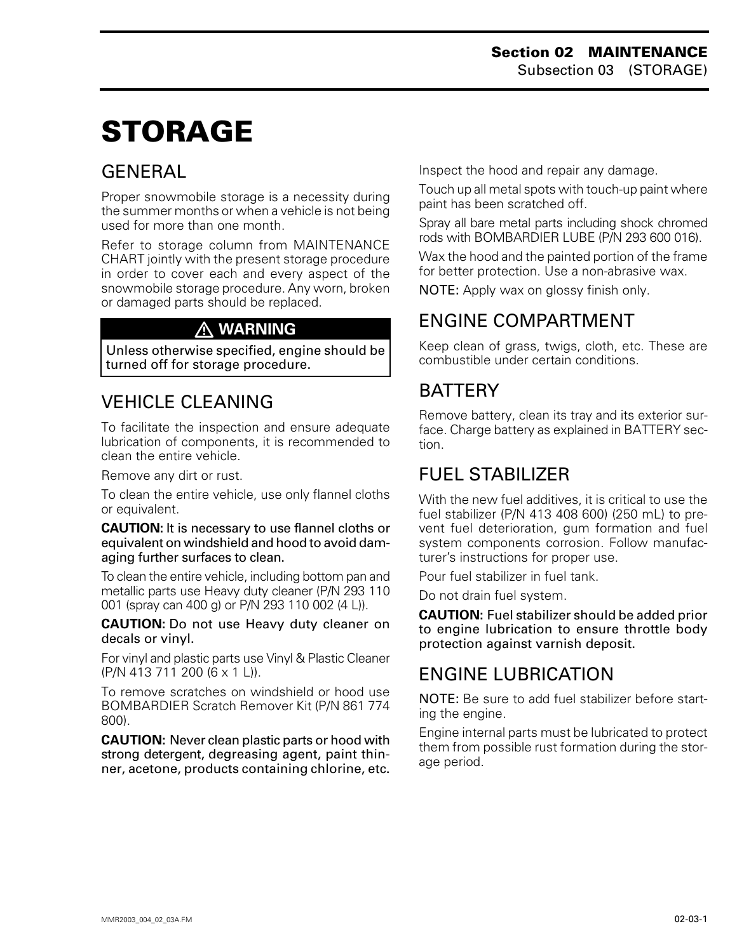# <span id="page-3-0"></span>**STORAGE 0**

### **GENERAL**

Proper snowmobile storage is a necessity during the summer months or when a vehicle is not being used for more than one month.

Refer to storage column from MAINTENANCE CHART jointly with the present storage procedure in order to cover each and every aspect of the snowmobile storage procedure. Any worn, broken or damaged parts should be replaced.

#### **WARNING**

Unless otherwise specified, engine should be turned off for storage procedure.

# VEHICLE CLEANING

To facilitate the inspection and ensure adequate lubrication of components, it is recommended to clean the entire vehicle.

Remove any dirt or rust.

To clean the entire vehicle, use only flannel cloths or equivalent.

**CAUTION:** It is necessary to use flannel cloths or equivalent on windshield and hood to avoid damaging further surfaces to clean.

To clean the entire vehicle, including bottom pan and metallic parts use Heavy duty cleaner (P/N 293 110 001 (spray can 400 g) or P/N 293 110 002 (4 L)).

**CAUTION:** Do not use Heavy duty cleaner on decals or vinyl.

For vinyl and plastic parts use Vinyl & Plastic Cleaner (P/N 413 711 200 (6 x 1 L)).

To remove scratches on windshield or hood use BOMBARDIER Scratch Remover Kit (P/N 861 774 800).

**CAUTION:** Never clean plastic parts or hood with strong detergent, degreasing agent, paint thinner, acetone, products containing chlorine, etc. Inspect the hood and repair any damage.

Touch up all metal spots with touch-up paint where paint has been scratched off.

Spray all bare metal parts including shock chromed rods with BOMBARDIER LUBE (P/N 293 600 016).

Wax the hood and the painted portion of the frame for better protection. Use a non-abrasive wax.

NOTE: Apply wax on glossy finish only.

### ENGINE COMPARTMENT

Keep clean of grass, twigs, cloth, etc. These are combustible under certain conditions.

### **BATTERY**

Remove battery, clean its tray and its exterior surface. Charge battery as explained in BATTERY section.

#### FUEL STABILIZER

With the new fuel additives, it is critical to use the fuel stabilizer (P/N 413 408 600) (250 mL) to prevent fuel deterioration, gum formation and fuel system components corrosion. Follow manufacturer's instructions for proper use.

Pour fuel stabilizer in fuel tank.

Do not drain fuel system.

**CAUTION:** Fuel stabilizer should be added prior to engine lubrication to ensure throttle body protection against varnish deposit.

#### ENGINE LUBRICATION

NOTE: Be sure to add fuel stabilizer before starting the engine.

Engine internal parts must be lubricated to protect them from possible rust formation during the storage period.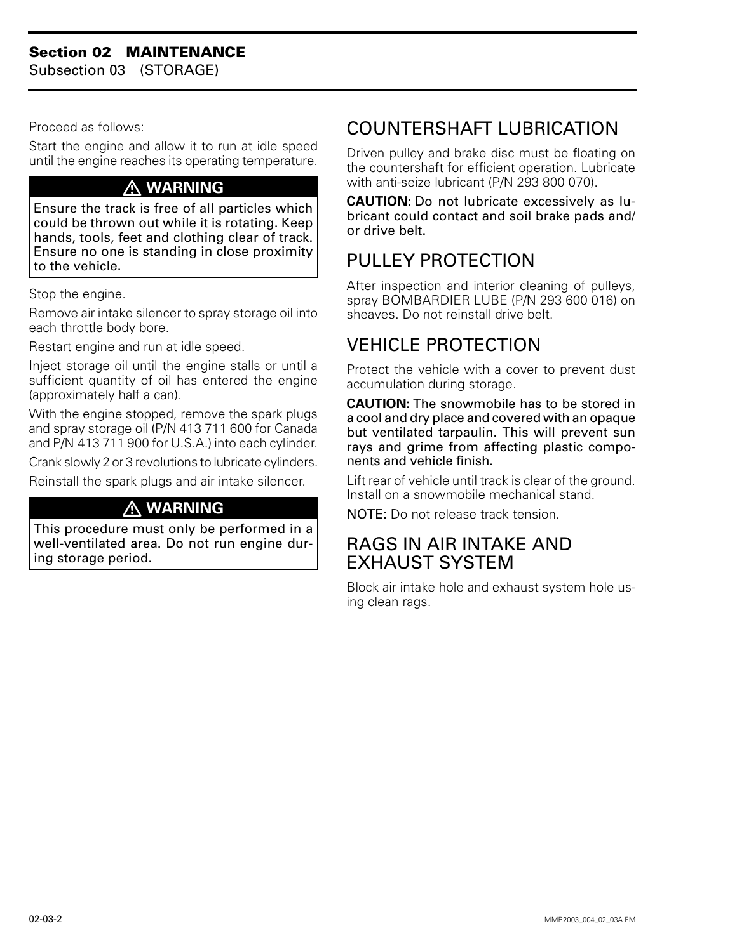<span id="page-4-0"></span>Subsection 03 (STORAGE)

Proceed as follows:

Start the engine and allow it to run at idle speed until the engine reaches its operating temperature.

#### **WARNING**

Ensure the track is free of all particles which could be thrown out while it is rotating. Keep hands, tools, feet and clothing clear of track. Ensure no one is standing in close proximity to the vehicle.

Stop the engine.

Remove air intake silencer to spray storage oil into each throttle body bore.

Restart engine and run at idle speed.

Inject storage oil until the engine stalls or until a sufficient quantity of oil has entered the engine (approximately half a can).

With the engine stopped, remove the spark plugs and spray storage oil (P/N 413 711 600 for Canada and P/N 413 711 900 for U.S.A.) into each cylinder.

Crank slowly 2 or 3 revolutions to lubricate cylinders.

Reinstall the spark plugs and air intake silencer.

#### **WARNING**

This procedure must only be performed in a well-ventilated area. Do not run engine during storage period.

## COUNTERSHAFT LUBRICATION

Driven pulley and brake disc must be floating on the countershaft for efficient operation. Lubricate with anti-seize lubricant (P/N 293 800 070).

**CAUTION:** Do not lubricate excessively as lubricant could contact and soil brake pads and/ or drive belt.

### PULLEY PROTECTION

After inspection and interior cleaning of pulleys, spray BOMBARDIER LUBE (P/N 293 600 016) on sheaves. Do not reinstall drive belt.

## VEHICLE PROTECTION

Protect the vehicle with a cover to prevent dust accumulation during storage.

**CAUTION:** The snowmobile has to be stored in a cool and dry place and covered with an opaque but ventilated tarpaulin. This will prevent sun rays and grime from affecting plastic components and vehicle finish.

Lift rear of vehicle until track is clear of the ground. Install on a snowmobile mechanical stand.

NOTE: Do not release track tension.

#### RAGS IN AIR INTAKE AND EXHAUST SYSTEM

Block air intake hole and exhaust system hole using clean rags.